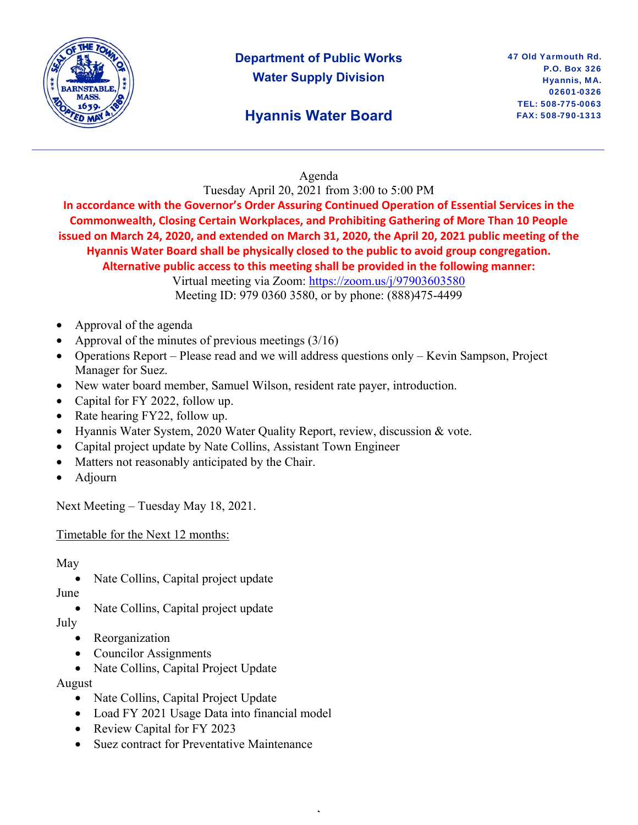

# **Department of Public Works Water Supply Division**

# **Hyannis Water Board**

#### Agenda

Tuesday April 20, 2021 from 3:00 to 5:00 PM

**In accordance with the Governor's Order Assuring Continued Operation of Essential Services in the Commonwealth, Closing Certain Workplaces, and Prohibiting Gathering of More Than 10 People issued on March 24, 2020, and extended on March 31, 2020, the April 20, 2021 public meeting of the Hyannis Water Board shall be physically closed to the public to avoid group congregation. Alternative public access to this meeting shall be provided in the following manner:** 

Virtual meeting via Zoom: https://zoom.us/j/97903603580 Meeting ID: 979 0360 3580, or by phone: (888)475-4499

,

- Approval of the agenda
- Approval of the minutes of previous meetings (3/16)
- Operations Report Please read and we will address questions only Kevin Sampson, Project Manager for Suez.
- New water board member, Samuel Wilson, resident rate payer, introduction.
- Capital for FY 2022, follow up.
- Rate hearing FY22, follow up.
- Hyannis Water System, 2020 Water Quality Report, review, discussion & vote.
- Capital project update by Nate Collins, Assistant Town Engineer
- Matters not reasonably anticipated by the Chair.
- Adjourn

Next Meeting – Tuesday May 18, 2021.

Timetable for the Next 12 months:

May

Nate Collins, Capital project update

June

Nate Collins, Capital project update

July

- Reorganization
- Councilor Assignments
- Nate Collins, Capital Project Update

August

- Nate Collins, Capital Project Update
- Load FY 2021 Usage Data into financial model
- Review Capital for FY 2023
- Suez contract for Preventative Maintenance